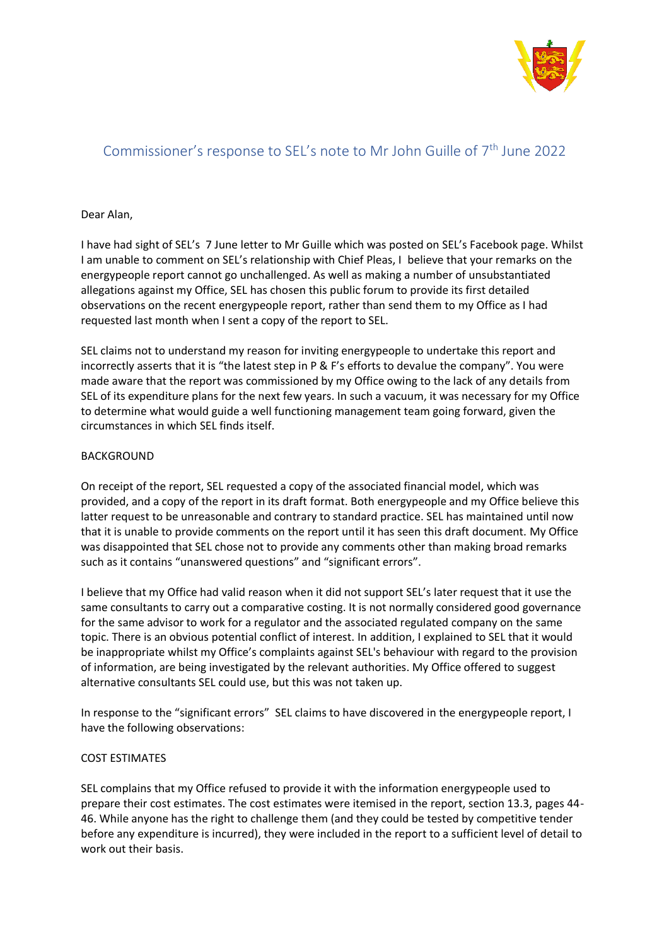

# Commissioner's response to SEL's note to Mr John Guille of  $7<sup>th</sup>$  June 2022

# Dear Alan,

I have had sight of SEL's 7 June letter to Mr Guille which was posted on SEL's Facebook page. Whilst I am unable to comment on SEL's relationship with Chief Pleas, I believe that your remarks on the energypeople report cannot go unchallenged. As well as making a number of unsubstantiated allegations against my Office, SEL has chosen this public forum to provide its first detailed observations on the recent energypeople report, rather than send them to my Office as I had requested last month when I sent a copy of the report to SEL.

SEL claims not to understand my reason for inviting energypeople to undertake this report and incorrectly asserts that it is "the latest step in P & F's efforts to devalue the company". You were made aware that the report was commissioned by my Office owing to the lack of any details from SEL of its expenditure plans for the next few years. In such a vacuum, it was necessary for my Office to determine what would guide a well functioning management team going forward, given the circumstances in which SEL finds itself.

# BACKGROUND

On receipt of the report, SEL requested a copy of the associated financial model, which was provided, and a copy of the report in its draft format. Both energypeople and my Office believe this latter request to be unreasonable and contrary to standard practice. SEL has maintained until now that it is unable to provide comments on the report until it has seen this draft document. My Office was disappointed that SEL chose not to provide any comments other than making broad remarks such as it contains "unanswered questions" and "significant errors".

I believe that my Office had valid reason when it did not support SEL's later request that it use the same consultants to carry out a comparative costing. It is not normally considered good governance for the same advisor to work for a regulator and the associated regulated company on the same topic. There is an obvious potential conflict of interest. In addition, I explained to SEL that it would be inappropriate whilst my Office's complaints against SEL's behaviour with regard to the provision of information, are being investigated by the relevant authorities. My Office offered to suggest alternative consultants SEL could use, but this was not taken up.

In response to the "significant errors" SEL claims to have discovered in the energypeople report, I have the following observations:

## COST ESTIMATES

SEL complains that my Office refused to provide it with the information energypeople used to prepare their cost estimates. The cost estimates were itemised in the report, section 13.3, pages 44- 46. While anyone has the right to challenge them (and they could be tested by competitive tender before any expenditure is incurred), they were included in the report to a sufficient level of detail to work out their basis.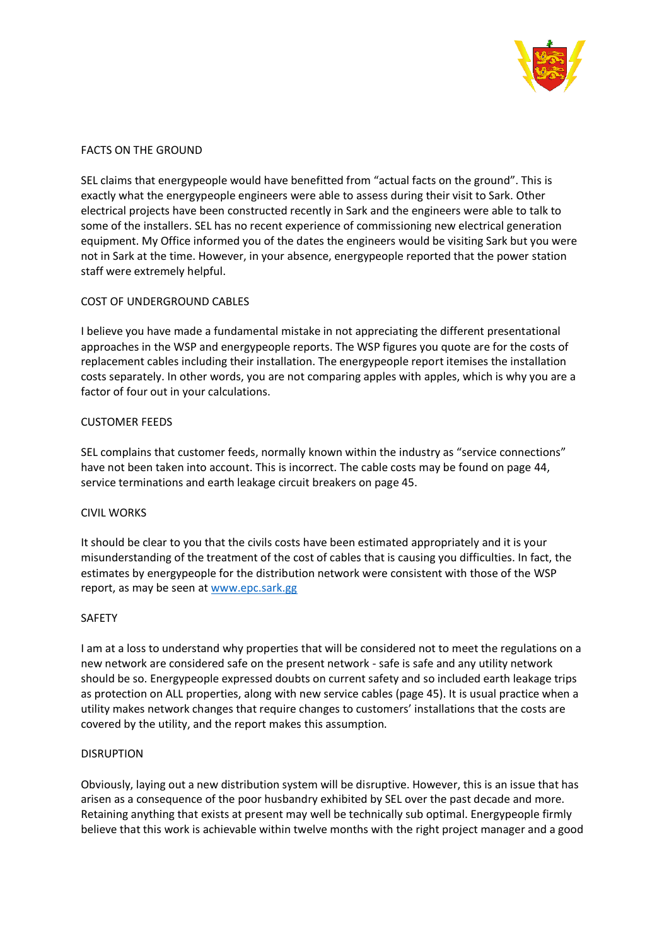

### FACTS ON THE GROUND

SEL claims that energypeople would have benefitted from "actual facts on the ground". This is exactly what the energypeople engineers were able to assess during their visit to Sark. Other electrical projects have been constructed recently in Sark and the engineers were able to talk to some of the installers. SEL has no recent experience of commissioning new electrical generation equipment. My Office informed you of the dates the engineers would be visiting Sark but you were not in Sark at the time. However, in your absence, energypeople reported that the power station staff were extremely helpful.

# COST OF UNDERGROUND CABLES

I believe you have made a fundamental mistake in not appreciating the different presentational approaches in the WSP and energypeople reports. The WSP figures you quote are for the costs of replacement cables including their installation. The energypeople report itemises the installation costs separately. In other words, you are not comparing apples with apples, which is why you are a factor of four out in your calculations.

# CUSTOMER FEEDS

SEL complains that customer feeds, normally known within the industry as "service connections" have not been taken into account. This is incorrect. The cable costs may be found on page 44, service terminations and earth leakage circuit breakers on page 45.

### CIVIL WORKS

It should be clear to you that the civils costs have been estimated appropriately and it is your misunderstanding of the treatment of the cost of cables that is causing you difficulties. In fact, the estimates by energypeople for the distribution network were consistent with those of the WSP report, as may be seen at [www.epc.sark.gg](http://www.epc.sark.gg/)

### SAFETY

I am at a loss to understand why properties that will be considered not to meet the regulations on a new network are considered safe on the present network - safe is safe and any utility network should be so. Energypeople expressed doubts on current safety and so included earth leakage trips as protection on ALL properties, along with new service cables (page 45). It is usual practice when a utility makes network changes that require changes to customers' installations that the costs are covered by the utility, and the report makes this assumption.

### DISRUPTION

Obviously, laying out a new distribution system will be disruptive. However, this is an issue that has arisen as a consequence of the poor husbandry exhibited by SEL over the past decade and more. Retaining anything that exists at present may well be technically sub optimal. Energypeople firmly believe that this work is achievable within twelve months with the right project manager and a good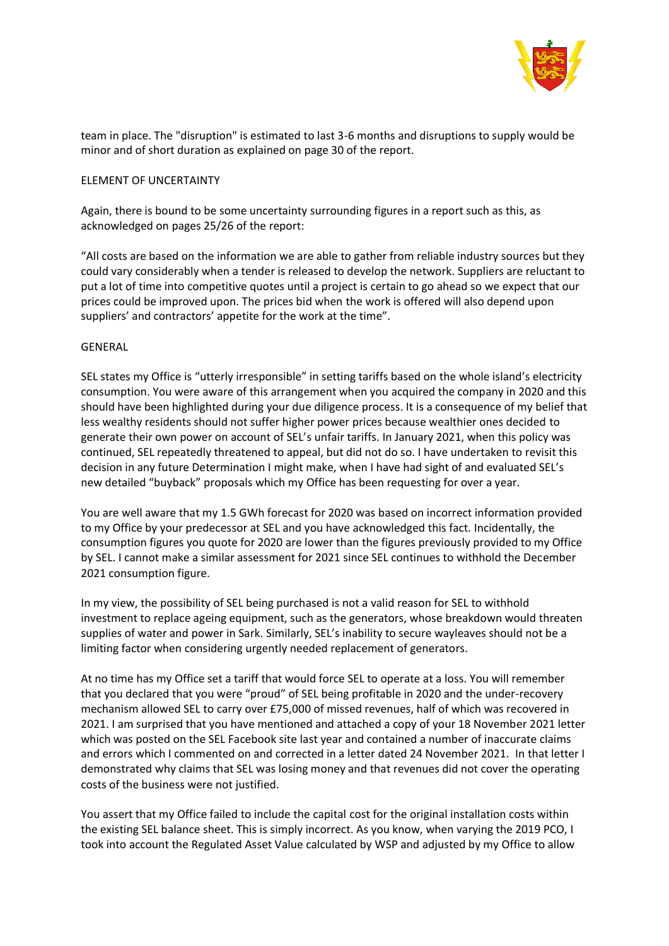

team in place. The "disruption" is estimated to last 3-6 months and disruptions to supply would be minor and of short duration as explained on page 30 of the report.

## ELEMENT OF UNCERTAINTY

Again, there is bound to be some uncertainty surrounding figures in a report such as this, as acknowledged on pages 25/26 of the report:

"All costs are based on the information we are able to gather from reliable industry sources but they could vary considerably when a tender is released to develop the network. Suppliers are reluctant to put a lot of time into competitive quotes until a project is certain to go ahead so we expect that our prices could be improved upon. The prices bid when the work is offered will also depend upon suppliers' and contractors' appetite for the work at the time".

# GENERAL

SEL states my Office is "utterly irresponsible" in setting tariffs based on the whole island's electricity consumption. You were aware of this arrangement when you acquired the company in 2020 and this should have been highlighted during your due diligence process. It is a consequence of my belief that less wealthy residents should not suffer higher power prices because wealthier ones decided to generate their own power on account of SEL's unfair tariffs. In January 2021, when this policy was continued, SEL repeatedly threatened to appeal, but did not do so. I have undertaken to revisit this decision in any future Determination I might make, when I have had sight of and evaluated SEL's new detailed "buyback" proposals which my Office has been requesting for over a year.

You are well aware that my 1.5 GWh forecast for 2020 was based on incorrect information provided to my Office by your predecessor at SEL and you have acknowledged this fact. Incidentally, the consumption figures you quote for 2020 are lower than the figures previously provided to my Office by SEL. I cannot make a similar assessment for 2021 since SEL continues to withhold the December 2021 consumption figure.

In my view, the possibility of SEL being purchased is not a valid reason for SEL to withhold investment to replace ageing equipment, such as the generators, whose breakdown would threaten supplies of water and power in Sark. Similarly, SEL's inability to secure wayleaves should not be a limiting factor when considering urgently needed replacement of generators.

At no time has my Office set a tariff that would force SEL to operate at a loss. You will remember that you declared that you were "proud" of SEL being profitable in 2020 and the under-recovery mechanism allowed SEL to carry over £75,000 of missed revenues, half of which was recovered in 2021. I am surprised that you have mentioned and attached a copy of your 18 November 2021 letter which was posted on the SEL Facebook site last year and contained a number of inaccurate claims and errors which I commented on and corrected in a letter dated 24 November 2021. In that letter I demonstrated why claims that SEL was losing money and that revenues did not cover the operating costs of the business were not justified.

You assert that my Office failed to include the capital cost for the original installation costs within the existing SEL balance sheet. This is simply incorrect. As you know, when varying the 2019 PCO, I took into account the Regulated Asset Value calculated by WSP and adjusted by my Office to allow